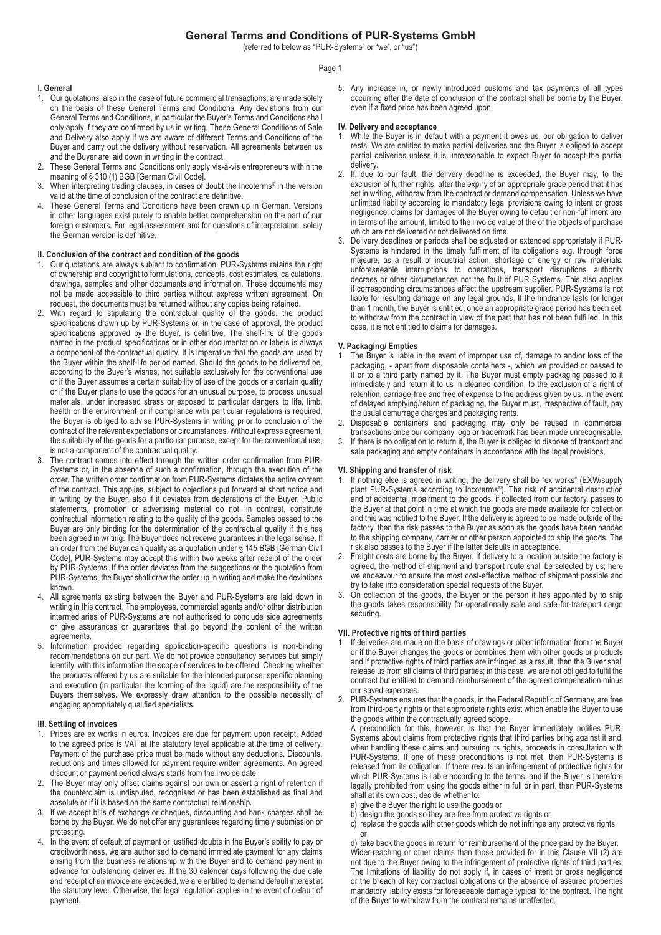# **General Terms and Conditions of PUR-Systems GmbH**

(referred to below as "PUR-Systems" or "we", or "us")

## Page 1

## **I. General**

- 1. Our quotations, also in the case of future commercial transactions, are made solely on the basis of these General Terms and Conditions. Any deviations from our General Terms and Conditions, in particular the Buyer's Terms and Conditions shall only apply if they are confirmed by us in writing. These General Conditions of Sale and Delivery also apply if we are aware of different Terms and Conditions of the Buyer and carry out the delivery without reservation. All agreements between us and the Buyer are laid down in writing in the contract.
- 2. These General Terms and Conditions only apply vis-à-vis entrepreneurs within the meaning of § 310 (1) BGB [German Civil Code].
- When interpreting trading clauses, in cases of doubt the Incoterms® in the version valid at the time of conclusion of the contract are definitive.
- These General Terms and Conditions have been drawn up in German. Versions in other languages exist purely to enable better comprehension on the part of our foreign customers. For legal assessment and for questions of interpretation, solely the German version is definitive.

### **II. Conclusion of the contract and condition of the goods**

- 1. Our quotations are always subject to confirmation. PUR-Systems retains the right of ownership and copyright to formulations, concepts, cost estimates, calculations, drawings, samples and other documents and information. These documents may not be made accessible to third parties without express written agreement. On request, the documents must be returned without any copies being retained.
- 2. With regard to stipulating the contractual quality of the goods, the product specifications drawn up by PUR-Systems or, in the case of approval, the product specifications approved by the Buyer, is definitive. The shelf-life of the goods named in the product specifications or in other documentation or labels is always a component of the contractual quality. It is imperative that the goods are used by the Buyer within the shelf-life period named. Should the goods to be delivered be, according to the Buyer's wishes, not suitable exclusively for the conventional use or if the Buyer assumes a certain suitability of use of the goods or a certain quality or if the Buyer plans to use the goods for an unusual purpose, to process unusual materials, under increased stress or exposed to particular dangers to life, limb, health or the environment or if compliance with particular regulations is required, the Buyer is obliged to advise PUR-Systems in writing prior to conclusion of the contract of the relevant expectations or circumstances. Without express agreement, the suitability of the goods for a particular purpose, except for the conventional use, is not a component of the contractual quality.
- The contract comes into effect through the written order confirmation from PUR-Systems or, in the absence of such a confirmation, through the execution of the order. The written order confirmation from PUR-Systems dictates the entire content of the contract. This applies, subject to objections put forward at short notice and in writing by the Buyer, also if it deviates from declarations of the Buyer. Public statements, promotion or advertising material do not, in contrast, constitute contractual information relating to the quality of the goods. Samples passed to the Buyer are only binding for the determination of the contractual quality if this has been agreed in writing. The Buyer does not receive guarantees in the legal sense. If an order from the Buyer can qualify as a quotation under § 145 BGB [German Civil Code], PUR-Systems may accept this within two weeks after receipt of the order by PUR-Systems. If the order deviates from the suggestions or the quotation from PUR-Systems, the Buyer shall draw the order up in writing and make the deviations known.
- 4. All agreements existing between the Buyer and PUR-Systems are laid down in writing in this contract. The employees, commercial agents and/or other distribution intermediaries of PUR-Systems are not authorised to conclude side agreements or give assurances or guarantees that go beyond the content of the written agreements.
- 5. Information provided regarding application-specific questions is non-binding recommendations on our part. We do not provide consultancy services but simply identify, with this information the scope of services to be offered. Checking whether the products offered by us are suitable for the intended purpose, specific planning and execution (in particular the foaming of the liquid) are the responsibility of the Buyers themselves. We expressly draw attention to the possible necessity of engaging appropriately qualified specialists.

### **III. Settling of invoices**

- Prices are ex works in euros. Invoices are due for payment upon receipt. Added to the agreed price is VAT at the statutory level applicable at the time of delivery. Payment of the purchase price must be made without any deductions. Discounts, reductions and times allowed for payment require written agreements. An agreed discount or payment period always starts from the invoice date.
- 2. The Buyer may only offset claims against our own or assert a right of retention if the counterclaim is undisputed, recognised or has been established as final and absolute or if it is based on the same contractual relationship.
- 3. If we accept bills of exchange or cheques, discounting and bank charges shall be borne by the Buyer. We do not offer any guarantees regarding timely submission or protesting.
- 4. In the event of default of payment or justified doubts in the Buyer's ability to pay or creditworthiness, we are authorised to demand immediate payment for any claims arising from the business relationship with the Buyer and to demand payment in advance for outstanding deliveries. If the 30 calendar days following the due date and receipt of an invoice are exceeded, we are entitled to demand default interest at the statutory level. Otherwise, the legal regulation applies in the event of default of payment.

5. Any increase in, or newly introduced customs and tax payments of all types occurring after the date of conclusion of the contract shall be borne by the Buyer, even if a fixed price has been agreed upon.

## **IV. Delivery and acceptance**

- While the Buyer is in default with a payment it owes us, our obligation to deliver rests. We are entitled to make partial deliveries and the Buyer is obliged to accept partial deliveries unless it is unreasonable to expect Buyer to accept the partial delivery.
- 2. If, due to our fault, the delivery deadline is exceeded, the Buyer may, to the exclusion of further rights, after the expiry of an appropriate grace period that it has set in writing, withdraw from the contract or demand compensation. Unless we have unlimited liability according to mandatory legal provisions owing to intent or gross negligence, claims for damages of the Buyer owing to default or non-fulfilment are, in terms of the amount, limited to the invoice value of the of the objects of purchase which are not delivered or not delivered on time.
- 3. Delivery deadlines or periods shall be adjusted or extended appropriately if PUR-Systems is hindered in the timely fulfilment of its obligations e.g. through force majeure, as a result of industrial action, shortage of energy or raw materials, unforeseeable interruptions to operations, transport disruptions authority decrees or other circumstances not the fault of PUR-Systems. This also applies if corresponding circumstances affect the upstream supplier. PUR-Systems is not liable for resulting damage on any legal grounds. If the hindrance lasts for longer than 1 month, the Buyer is entitled, once an appropriate grace period has been set, to withdraw from the contract in view of the part that has not been fulfilled. In this case, it is not entitled to claims for damages.

## **V. Packaging/ Empties**

- 1. The Buyer is liable in the event of improper use of, damage to and/or loss of the packaging, - apart from disposable containers -, which we provided or passed to it or to a third party named by it. The Buyer must empty packaging passed to it immediately and return it to us in cleaned condition, to the exclusion of a right of retention, carriage-free and free of expense to the address given by us. In the event of delayed emptying/return of packaging, the Buyer must, irrespective of fault, pay the usual demurrage charges and packaging rents.
- 2. Disposable containers and packaging may only be reused in commercial transactions once our company logo or trademark has been made unrecognisable.
- 3. If there is no obligation to return it, the Buyer is obliged to dispose of transport and sale packaging and empty containers in accordance with the legal provisions.

#### **VI. Shipping and transfer of risk**

- 1. If nothing else is agreed in writing, the delivery shall be "ex works" (EXW/supply plant PUR-Systems according to Incoterms®). The risk of accidental destruction and of accidental impairment to the goods, if collected from our factory, passes to the Buyer at that point in time at which the goods are made available for collection and this was notified to the Buyer. If the delivery is agreed to be made outside of the factory, then the risk passes to the Buyer as soon as the goods have been handed to the shipping company, carrier or other person appointed to ship the goods. The risk also passes to the Buyer if the latter defaults in acceptance.
- 2. Freight costs are borne by the Buyer. If delivery to a location outside the factory is agreed, the method of shipment and transport route shall be selected by us; here we endeavour to ensure the most cost-effective method of shipment possible and try to take into consideration special requests of the Buyer.
- 3. On collection of the goods, the Buyer or the person it has appointed by to ship the goods takes responsibility for operationally safe and safe-for-transport cargo securing.

## **VII. Protective rights of third parties**

- If deliveries are made on the basis of drawings or other information from the Buyer or if the Buyer changes the goods or combines them with other goods or products and if protective rights of third parties are infringed as a result, then the Buyer shall release us from all claims of third parties; in this case, we are not obliged to fulfil the contract but entitled to demand reimbursement of the agreed compensation minus our saved expenses.
- 2. PUR-Systems ensures that the goods, in the Federal Republic of Germany, are free from third-party rights or that appropriate rights exist which enable the Buyer to use the goods within the contractually agreed scope.

A precondition for this, however, is that the Buyer immediately notifies PUR-Systems about claims from protective rights that third parties bring against it and, when handling these claims and pursuing its rights, proceeds in consultation with PUR-Systems. If one of these preconditions is not met, then PUR-Systems is released from its obligation. If there results an infringement of protective rights for which PUR-Systems is liable according to the terms, and if the Buyer is therefore legally prohibited from using the goods either in full or in part, then PUR-Systems shall at its own cost, decide whether to:

- a) give the Buyer the right to use the goods or
- b) design the goods so they are free from protective rights or
- c) replace the goods with other goods which do not infringe any protective rights or

d) take back the goods in return for reimbursement of the price paid by the Buyer. Wider-reaching or other claims than those provided for in this Clause VII (2) are not due to the Buyer owing to the infringement of protective rights of third parties. The limitations of liability do not apply if, in cases of intent or gross negligence or the breach of key contractual obligations or the absence of assured properties mandatory liability exists for foreseeable damage typical for the contract. The right of the Buyer to withdraw from the contract remains unaffected.